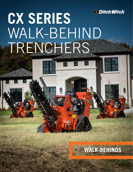

# **CX SERIES** WALK-BEHIND TRENCHERS



群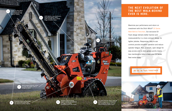Maximize your performance and return on investment with the Ditch Witch® CX Series Walk-Behind Trenchers. Our exclusive CX Track design delivers better traction and maneuverability in a more compact design for tighter jobsites. Responsive, easy-to-use controls provide smoother operation and reduce operator fatigue. Plus, a simple, open design for easy access and no daily grease points means less maintenance time to keep your CX Series fleet rental-ready.







1 Utilizes the Ditch Witch<br>35K digging system or the new exclusive 19K Opticut™ System.

> Newly designed hydraulic system is simple and reliable, with no linkages to adjust.



Greaseless sealed bearing design with construction-grade seals help increase machine longevity.



Standard outboard bearing support stabilizes the headshaft and auger, for reliable productivity trench after trench.

 $\mathcal{G}$ 

 $630x$ 

2

C24X features a low-maintenance, long lasting Honda® engine. C16X and C30X offers a reliable Briggs & Stratton engine.

# **THE NEXT EVOLUTION OF THE BEST WALK-BEHIND EVER IS HERE.**

4

The shorter left track design allows for a more compact piece of equipment than competitive designs and more maneuverability in tighter spaces.

3

Increased visibility of the workstation with color-coded controls improves operator productivity.

> **Ditch Witch**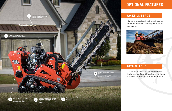disturbances, less labor, and less restoration than tearing

• Our easy-to-operate backfill blade is much faster and

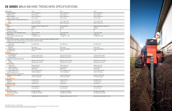| <b>DIMENSIONS*</b>                                                                                        | <b>C16X</b>                                   | <b>C24X</b>                                   | <b>C30X</b>                                   |
|-----------------------------------------------------------------------------------------------------------|-----------------------------------------------|-----------------------------------------------|-----------------------------------------------|
| Headshaft height                                                                                          | 13.7 in (348 mm)                              | 13.7 in (348 mm)                              | 13.7 in (348 mm)                              |
| Length (up to)                                                                                            | 94 in (2.4 m)                                 | 94 in (2.4 m)                                 | 101 in (2.6 m)                                |
| Width, transport                                                                                          | 35.8 in (909 mm)                              | 35.8 in (909 mm)                              | 35.8 in (909 mm)                              |
| Height, transport (up to)                                                                                 | 63 in (1.6 m)                                 | 63 in (1.6 m)                                 | 75 in (1.9 m)                                 |
| Centerline trench to outside edge machine                                                                 |                                               |                                               |                                               |
| Left                                                                                                      | 17.2 in (437 mm)                              | 17.2 in (437 mm)                              | 17.2 in (437 mm)                              |
| Right                                                                                                     | 18.6 in (472 mm)                              | 18.6 in (472 mm)                              | 18.6 in (472 mm)                              |
| <b>POWER</b>                                                                                              |                                               |                                               |                                               |
| Engine                                                                                                    | Briggs & Stratton® Vanguard™ 16*              | Honda <sup>®</sup> GX690**                    | Briggs & Stratton Vanguard 31*                |
| Fuel                                                                                                      | Gasoline                                      | Gasoline                                      | Gasoline                                      |
| Cooling medium                                                                                            | Air                                           | Air                                           | Air                                           |
| Number of cylinders                                                                                       | $\mathbf{2}^{\prime}$                         | $\mathbf{2}^{\prime}$                         | $\overline{2}$                                |
| Manufacturer's net horsepower rating*                                                                     | 16 hp (11.9 kW)                               | 22 hp (16.4 kW)                               | 31 hp (23.1 kW)                               |
| Rated speed                                                                                               | 3,600 rpm**                                   | 3,600 rpm*                                    | 3,600 rpm*                                    |
| Fuel consumption @ rated power                                                                            | 1.33 gph (5 LPH)                              | 1.77 gph (6.7 LPH)                            | 2.49 gph (9.4 LPH)                            |
| <b>POWER TRAIN</b>                                                                                        |                                               |                                               |                                               |
| Ground drive transmission: hydraulic, Infinite variable from zero to maximum, speed and direction control |                                               |                                               |                                               |
| Digging chain drive: hydraulic direct drive, one speed forward and reverse                                |                                               |                                               |                                               |
| Pump drive: direct drive from engine                                                                      |                                               |                                               |                                               |
| Track width                                                                                               | 8 in (200 mm)                                 | 8 in (200 mm)                                 | 8 in (200 mm)                                 |
| Trencher drive                                                                                            |                                               |                                               |                                               |
|                                                                                                           | Direct drive                                  | Direct drive                                  | Direct drive                                  |
| Hydraulic                                                                                                 |                                               | 19K, 33K and 35K                              |                                               |
| Digging chain                                                                                             | 19K, 33K and 35K                              |                                               | 19K, 33K and 35K                              |
| Ground pressure                                                                                           | 4.5 psi                                       | 4.5 psi                                       | 5 psi                                         |
| <b>OPERATION</b>                                                                                          |                                               |                                               |                                               |
| Vehicle speeds, max                                                                                       |                                               |                                               |                                               |
| Transit forward                                                                                           | 120 fpm (36.6 m/min)                          | 176 fpm (53.6 m/min)                          | 176 fpm (53.6 m/min)                          |
| Transit reverse                                                                                           | 120 fpm (36.6 m/min)                          | 136 fpm (41.5 m/min)                          | 136 fpm (41.5 m/min)                          |
| Digging chain speed @ 3,600 rpm                                                                           |                                               |                                               |                                               |
| 19K                                                                                                       | 366 fpm (111.56 m/min)                        | 366 fpm (111 56 m/min)                        | 366 fpm (111 56 m/min)                        |
| 33/35K                                                                                                    | 309 fpm (94.2 m/min)                          | 309 fpm (94.2 m/min)                          | 309 fpm (94.2 m/min)                          |
| Spoil handling                                                                                            |                                               |                                               |                                               |
| Auger, type                                                                                               | Single, open end                              | Single, open end                              | Single, open end                              |
| Auger, diameter                                                                                           | 17 in (432 mm)                                | 17 in (432 mm)                                | 17 in (432 mm)                                |
| Trench cleaner type                                                                                       | Mechanical                                    | Mechanical                                    | Mechanical                                    |
| Trench cleaner size                                                                                       | 4-6 in (102-152 mm)                           | 4-6 in (102-152 mm)                           | 4-6 in (100-152 mm)                           |
| Operating weight (up to)                                                                                  | 1,895 lb (860 kg)                             | 1,915 lb (869 kg)                             | 2,100 lb (453 kg)                             |
| <b>HYDRAULIC SYSTEM @ 3,600 RPM</b>                                                                       |                                               |                                               |                                               |
| Digging drive pump capacity                                                                               | 10 gpm (37.85 l/min)                          | 10 gpm (37.85 l/min)                          | 10 gpm (37.85 l/min)                          |
| Filtration                                                                                                | 10 micron absolute                            | 10 micron absolute                            | 10 micron absolute                            |
| <b>FLUID CAPACITIES</b>                                                                                   |                                               |                                               |                                               |
| Fuel tank                                                                                                 | 2.3 gal (6.5 L)                               | 6.2 gal (23.5 L)                              | 6.2 gal (23.5 L)                              |
| Engine oil                                                                                                | 1.5 qt (1.46 L)                               | 1.8 qt (1.7 L)                                | 2.4 qt (2.27 L)                               |
| Hydraulic system                                                                                          | 11 gal (42 L)                                 | 11 gal (42 L)                                 | 11 gal (42 L)                                 |
| <b>TRENCH SIZE, MAX</b>                                                                                   |                                               |                                               |                                               |
| Depth                                                                                                     | 36 in (914 mm)                                | 36 in (914 mm)                                | 48 in (1219 mm)                               |
| Width                                                                                                     | 6 in (152 mm)                                 | 6 in (152 mm)                                 | 6 in (152 mm)                                 |
| <b>NOISE LEVEL</b>                                                                                        |                                               |                                               |                                               |
| Ear sound pressure                                                                                        | 87 dBA ISO 6394                               | 91 dBA per ISO 6394                           | 93 dBA per ISO 6394                           |
| Overall sound pressure                                                                                    | 97 dBA per ISO 6393                           | 100 dBA per ISO 6393                          | 103 dBA per ISO 6393                          |
| <b>VIBRATION LEVEL</b>                                                                                    | Operators hand less than 2.5 m/s <sup>2</sup> | Operators hand less than 2.5 m/s <sup>2</sup> | Operators hand less than 2.5 m/s <sup>2</sup> |
|                                                                                                           |                                               |                                               |                                               |



# **CX SERIES** WALK-BEHIND TRENCHERS SPECIFICATIONS